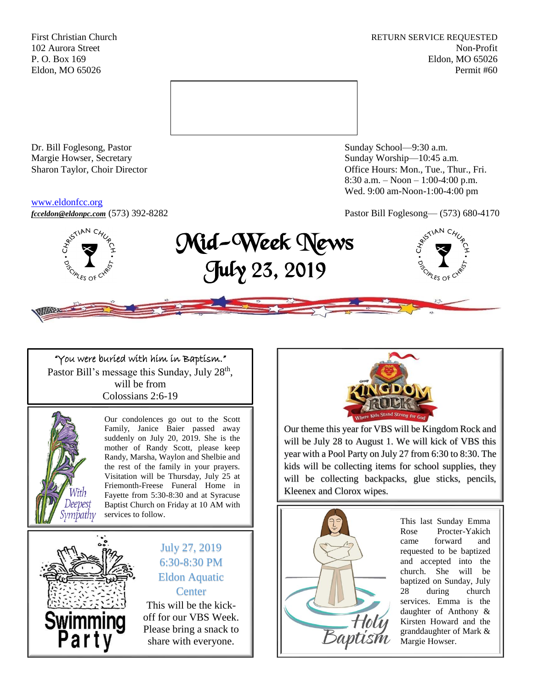First Christian Church **RETURN SERVICE REQUESTED** 102 Aurora Street Non-Profit P. O. Box 169 Eldon, MO 65026 Eldon, MO 65026 Permit #60



Dr. Bill Foglesong, Pastor Sunday School—9:30 a.m. Margie Howser, Secretary Sunday Worship—10:45 a.m.

#### [www.eldonfcc.org](http://www.eldonfcc.org/)

Sharon Taylor, Choir Director **Channel Controller Controller** Controller Controller Controller Controller Controller Controller Controller Controller Controller Controller Controller Controller Controller Controller Contro 8:30 a.m. – Noon – 1:00-4:00 p.m. Wed. 9:00 am-Noon-1:00-4:00 pm



# *[fcceldon@eldonpc.com](mailto:fcceldon@eldonpc.com)* (573) 392-8282 Pastor Bill Foglesong— (573) 680-4170<br>  $\delta_{\mathcal{S}}^{s^{5^{(NN C_{\mathcal{H}_{\mathcal{L}})}}}}$  **Mid-Week Nows** Mid-Week News July 23, 2019



### "You were buried with him in Baptism." Pastor Bill's message this Sunday, July 28<sup>th</sup>, will be from

Colossians 2:6-19



Our condolences go out to the Scott Family, Janice Baier passed away suddenly on July 20, 2019. She is the mother of Randy Scott, please keep Randy, Marsha, Waylon and Shelbie and the rest of the family in your prayers. Visitation will be Thursday, July 25 at Friemonth-Freese Funeral Home in Fayette from 5:30-8:30 and at Syracuse Baptist Church on Friday at 10 AM with services to follow.



July 27, 2019 6:30-8:30 PM Eldon Aquatic **Center** This will be the kick-

off for our VBS Week. Please bring a snack to share with everyone.



Our theme this year for VBS will be Kingdom Rock and will be July 28 to August 1. We will kick of VBS this year with a Pool Party on July 27 from 6:30 to 8:30. The kids will be collecting items for school supplies, they will be collecting backpacks, glue sticks, pencils, Kleenex and Clorox wipes.



This last Sunday Emma Rose Procter-Yakich came forward and requested to be baptized and accepted into the church. She will be baptized on Sunday, July 28 during church services. Emma is the daughter of Anthony & Kirsten Howard and the granddaughter of Mark & Margie Howser.